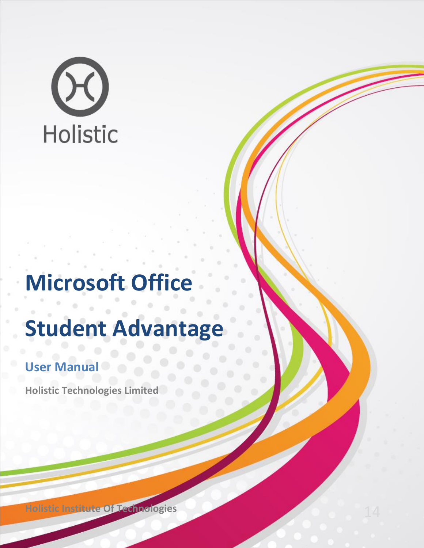# Holistic

## **Microsoft Office**

## **Student Advantage**

### **User Manual**

**Holistic Technologies Limited**

**Holistic Institute Of Technologies** 14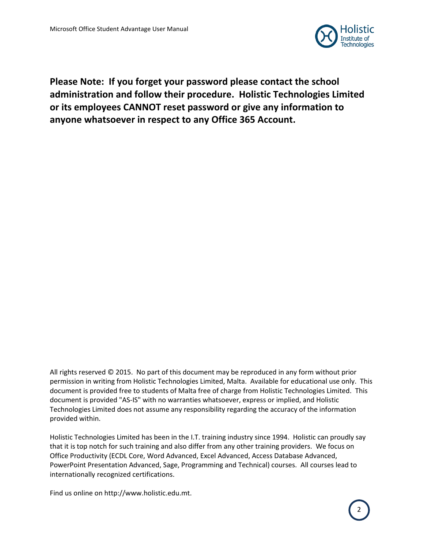

**Please Note: If you forget your password please contact the school administration and follow their procedure. Holistic Technologies Limited or its employees CANNOT reset password or give any information to anyone whatsoever in respect to any Office 365 Account.**

All rights reserved © 2015. No part of this document may be reproduced in any form without prior permission in writing from Holistic Technologies Limited, Malta. Available for educational use only. This document is provided free to students of Malta free of charge from Holistic Technologies Limited. This document is provided "AS-IS" with no warranties whatsoever, express or implied, and Holistic Technologies Limited does not assume any responsibility regarding the accuracy of the information provided within.

Holistic Technologies Limited has been in the I.T. training industry since 1994. Holistic can proudly say that it is top notch for such training and also differ from any other training providers. We focus on Office Productivity (ECDL Core, Word Advanced, Excel Advanced, Access Database Advanced, PowerPoint Presentation Advanced, Sage, Programming and Technical) courses. All courses lead to internationally recognized certifications.

Find us online on http://www.holistic.edu.mt.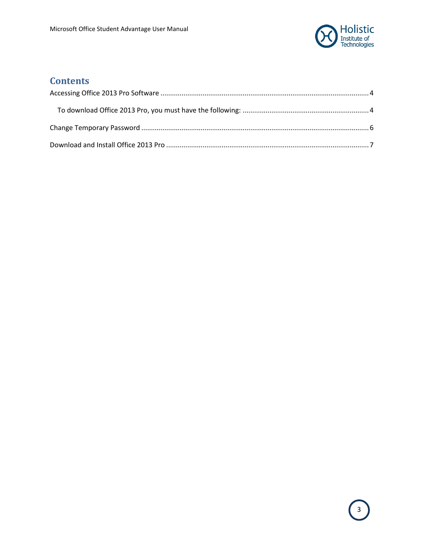

#### **Contents**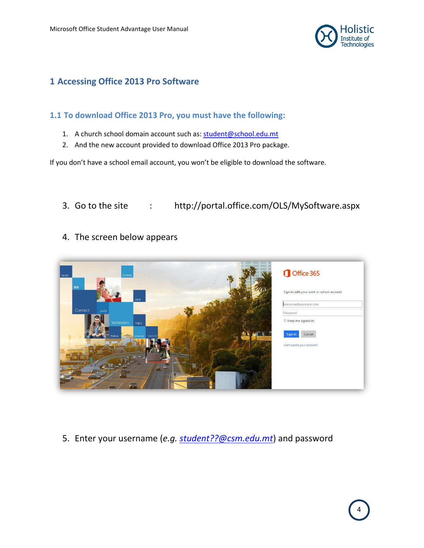

#### <span id="page-3-0"></span>**1 Accessing Office 2013 Pro Software**

#### <span id="page-3-1"></span>**1.1 To download Office 2013 Pro, you must have the following:**

- 1. A church school domain account such as[: student@school.edu.mt](mailto:student@school.edu.mt)
- 2. And the new account provided to download Office 2013 Pro package.

If you don't have a school email account, you won't be eligible to download the software.

- 3. Go to the site : http://portal.office.com/OLS/MySoftware.aspx
- 4. The screen below appears



5. Enter your username (*e.g. [student??@csm.edu.mt](mailto:student??@csm.edu.mt)*) and password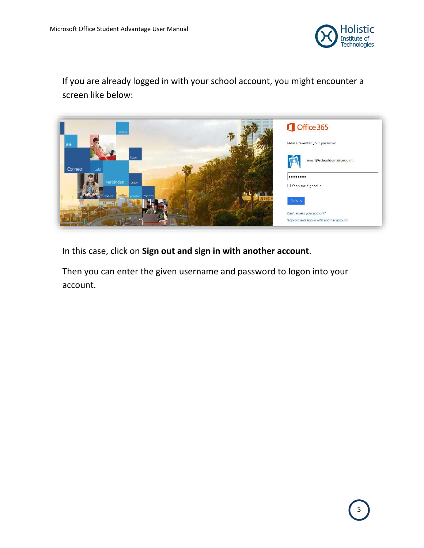

If you are already logged in with your school account, you might encounter a screen like below:



In this case, click on **Sign out and sign in with another account**.

Then you can enter the given username and password to logon into your account.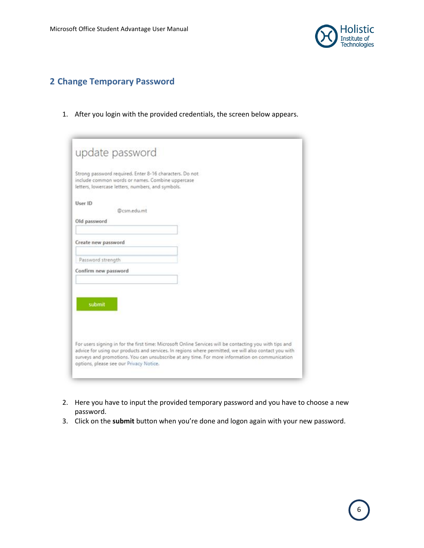

#### <span id="page-5-0"></span>**2 Change Temporary Password**

1. After you login with the provided credentials, the screen below appears.

|                      | update password                                                                                                                                                  |                                                                                                                                                                                                                                                                                                                    |
|----------------------|------------------------------------------------------------------------------------------------------------------------------------------------------------------|--------------------------------------------------------------------------------------------------------------------------------------------------------------------------------------------------------------------------------------------------------------------------------------------------------------------|
|                      | Strong password required. Enter 8-16 characters. Do not<br>include common words or names. Combine uppercase<br>letters, lowercase letters, numbers, and symbols. |                                                                                                                                                                                                                                                                                                                    |
| User ID              | @csm.edu.mt                                                                                                                                                      |                                                                                                                                                                                                                                                                                                                    |
| Old password         |                                                                                                                                                                  |                                                                                                                                                                                                                                                                                                                    |
| Create new password  |                                                                                                                                                                  |                                                                                                                                                                                                                                                                                                                    |
| Password strength    |                                                                                                                                                                  |                                                                                                                                                                                                                                                                                                                    |
| Confirm new password |                                                                                                                                                                  |                                                                                                                                                                                                                                                                                                                    |
| submit               |                                                                                                                                                                  |                                                                                                                                                                                                                                                                                                                    |
|                      | options, please see our Privacy Notice.                                                                                                                          | For users signing in for the first time: Microsoft Online Services will be contacting you with tips and<br>advice for using our products and services. In regions where permitted, we will also contact you with<br>surveys and promotions. You can unsubscribe at any time. For more information on communication |

- 2. Here you have to input the provided temporary password and you have to choose a new password.
- 3. Click on the **submit** button when you're done and logon again with your new password.